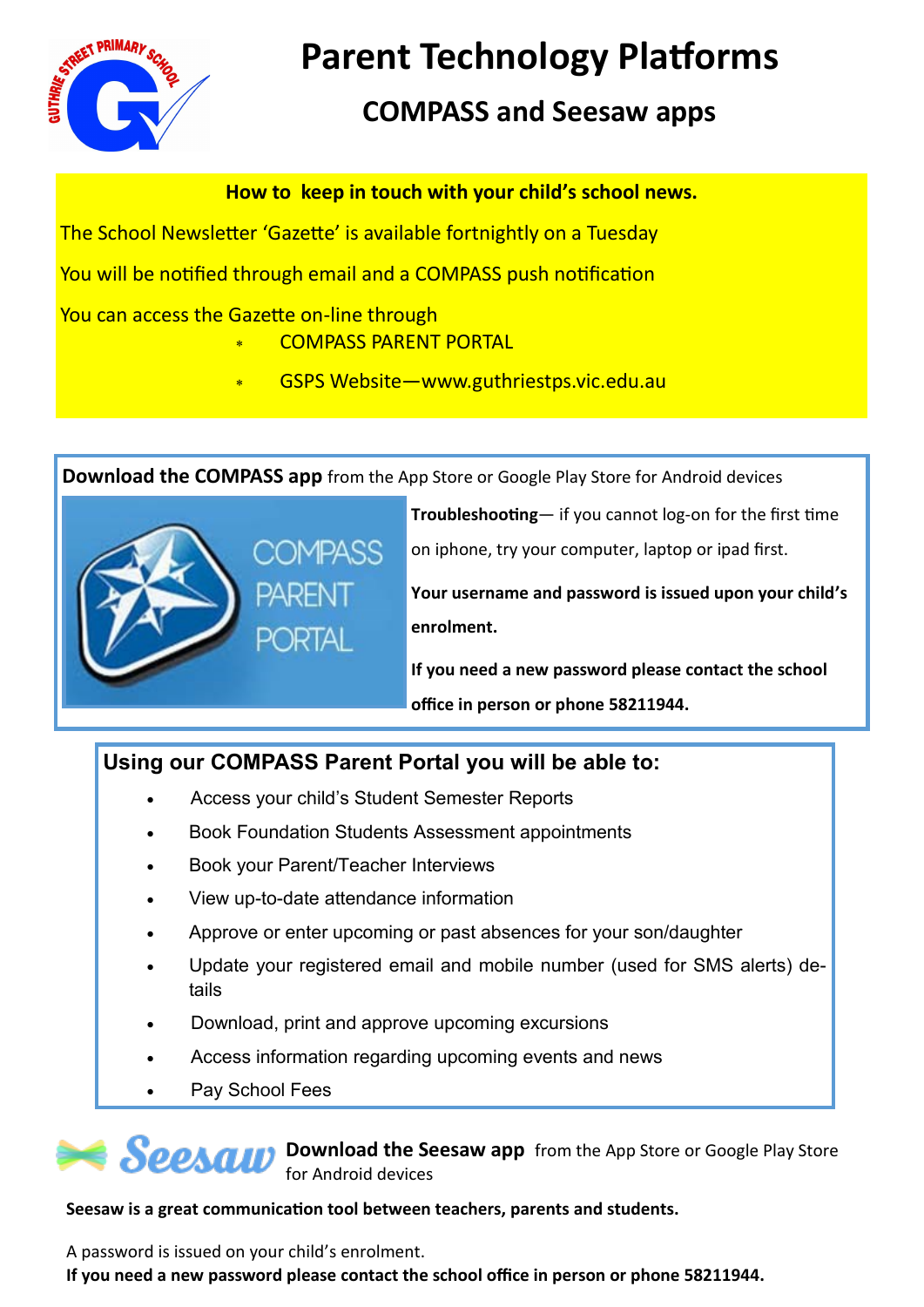

# **Parent Technology Platforms**

## **COMPASS and Seesaw apps**

**How to keep in touch with your child's school news.**

The School Newsletter 'Gazette' is available fortnightly on a Tuesday

You will be notified through email and a COMPASS push notification

You can access the Gazette on-line through

#### COMPASS PARENT PORTAL

GSPS Website—www.guthriestps.vic.edu.au

**Download the COMPASS app** from the App Store or Google Play Store for Android devices



**Troubleshooting**— if you cannot log-on for the first time on iphone, try your computer, laptop or ipad first.

**Your username and password is issued upon your child's enrolment.**

**If you need a new password please contact the school office in person or phone 58211944.**

### **Using our COMPASS Parent Portal you will be able to:**

- Access your child's Student Semester Reports
- Book Foundation Students Assessment appointments
- Book your Parent/Teacher Interviews
- View up-to-date attendance information
- Approve or enter upcoming or past absences for your son/daughter
- Update your registered email and mobile number (used for SMS alerts) details
- Download, print and approve upcoming excursions
- Access information regarding upcoming events and news
	- Pay School Fees

**SPPACH** Download the Seesaw app from the App Store or Google Play Store for Android devices

#### **Seesaw is a great communication tool between teachers, parents and students.**

A password is issued on your child's enrolment. **If you need a new password please contact the school office in person or phone 58211944.**